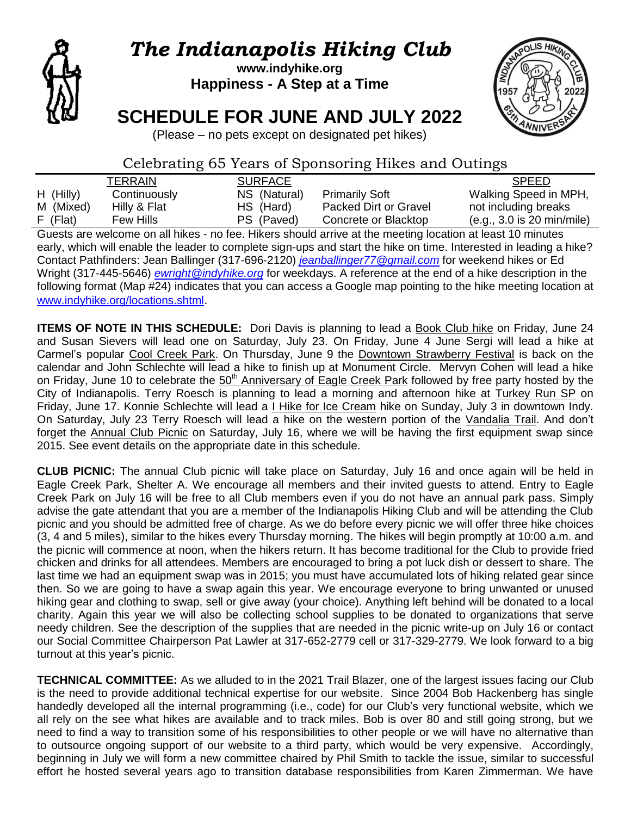

# *The Indianapolis Hiking Club*

# **www.indyhike.org Happiness - A Step at a Time**

# **SCHEDULE FOR JUNE AND JULY 2022**



(Please – no pets except on designated pet hikes)

# Celebrating 65 Years of Sponsoring Hikes and Outings

|             | TERRAIN      | <b>SURFACE</b> |                       | <b>SPEED</b>               |
|-------------|--------------|----------------|-----------------------|----------------------------|
| $H$ (Hilly) | Continuously | NS (Natural)   | <b>Primarily Soft</b> | Walking Speed in MPH,      |
| M (Mixed)   | Hilly & Flat | HS (Hard)      | Packed Dirt or Gravel | not including breaks       |
| $F$ (Flat)  | Few Hills    | PS (Paved)     | Concrete or Blacktop  | (e.g., 3.0 is 20 min/mile) |

Guests are welcome on all hikes - no fee. Hikers should arrive at the meeting location at least 10 minutes early, which will enable the leader to complete sign-ups and start the hike on time. Interested in leading a hike? Contact Pathfinders: Jean Ballinger (317-696-2120) *[jeanballinger77@gmail.com](mailto:jeanballinger77@gmail.com)* for weekend hikes or Ed Wright (317-445-5646) *[ewright@indyhike.org](mailto:ewright@indyhike.org)* for weekdays. A reference at the end of a hike description in the following format (Map #24) indicates that you can access a Google map pointing to the hike meeting location at [www.indyhike.org/locations.shtml](http://www.indyhike.org/locations.shtml).

**ITEMS OF NOTE IN THIS SCHEDULE:** Dori Davis is planning to lead a Book Club hike on Friday, June 24 and Susan Sievers will lead one on Saturday, July 23. On Friday, June 4 June Sergi will lead a hike at Carmel"s popular Cool Creek Park. On Thursday, June 9 the Downtown Strawberry Festival is back on the calendar and John Schlechte will lead a hike to finish up at Monument Circle. Mervyn Cohen will lead a hike on Friday, June 10 to celebrate the 50<sup>th</sup> Anniversary of Eagle Creek Park followed by free party hosted by the City of Indianapolis. Terry Roesch is planning to lead a morning and afternoon hike at Turkey Run SP on Friday, June 17. Konnie Schlechte will lead a *I Hike for Ice Cream* hike on Sunday, July 3 in downtown Indy. On Saturday, July 23 Terry Roesch will lead a hike on the western portion of the Vandalia Trail. And don"t forget the Annual Club Picnic on Saturday, July 16, where we will be having the first equipment swap since 2015. See event details on the appropriate date in this schedule.

**CLUB PICNIC:** The annual Club picnic will take place on Saturday, July 16 and once again will be held in Eagle Creek Park, Shelter A. We encourage all members and their invited guests to attend. Entry to Eagle Creek Park on July 16 will be free to all Club members even if you do not have an annual park pass. Simply advise the gate attendant that you are a member of the Indianapolis Hiking Club and will be attending the Club picnic and you should be admitted free of charge. As we do before every picnic we will offer three hike choices (3, 4 and 5 miles), similar to the hikes every Thursday morning. The hikes will begin promptly at 10:00 a.m. and the picnic will commence at noon, when the hikers return. It has become traditional for the Club to provide fried chicken and drinks for all attendees. Members are encouraged to bring a pot luck dish or dessert to share. The last time we had an equipment swap was in 2015; you must have accumulated lots of hiking related gear since then. So we are going to have a swap again this year. We encourage everyone to bring unwanted or unused hiking gear and clothing to swap, sell or give away (your choice). Anything left behind will be donated to a local charity. Again this year we will also be collecting school supplies to be donated to organizations that serve needy children. See the description of the supplies that are needed in the picnic write-up on July 16 or contact our Social Committee Chairperson Pat Lawler at 317-652-2779 cell or 317-329-2779. We look forward to a big turnout at this year's picnic.

**TECHNICAL COMMITTEE:** As we alluded to in the 2021 Trail Blazer, one of the largest issues facing our Club is the need to provide additional technical expertise for our website. Since 2004 Bob Hackenberg has single handedly developed all the internal programming (i.e., code) for our Club"s very functional website, which we all rely on the see what hikes are available and to track miles. Bob is over 80 and still going strong, but we need to find a way to transition some of his responsibilities to other people or we will have no alternative than to outsource ongoing support of our website to a third party, which would be very expensive. Accordingly, beginning in July we will form a new committee chaired by Phil Smith to tackle the issue, similar to successful effort he hosted several years ago to transition database responsibilities from Karen Zimmerman. We have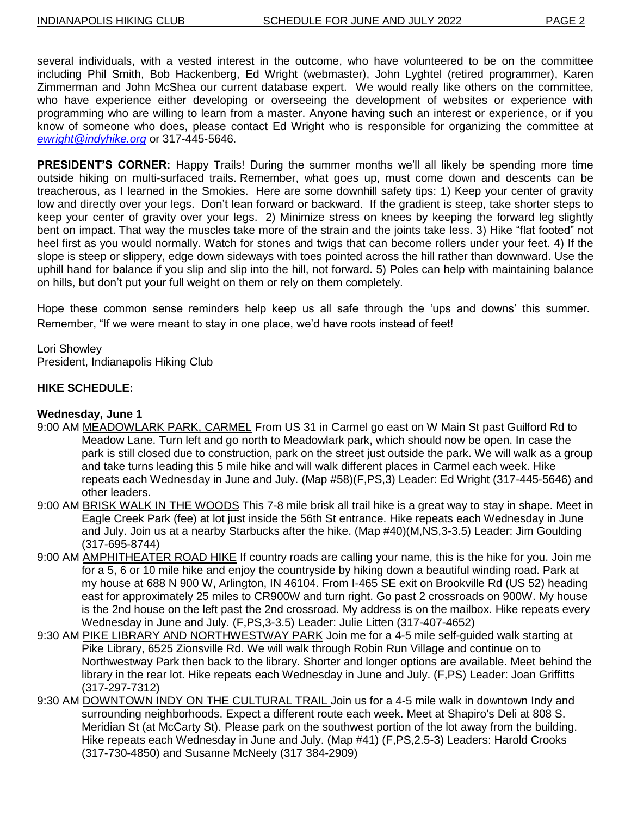several individuals, with a vested interest in the outcome, who have volunteered to be on the committee including Phil Smith, Bob Hackenberg, Ed Wright (webmaster), John Lyghtel (retired programmer), Karen Zimmerman and John McShea our current database expert. We would really like others on the committee, who have experience either developing or overseeing the development of websites or experience with programming who are willing to learn from a master. Anyone having such an interest or experience, or if you know of someone who does, please contact Ed Wright who is responsible for organizing the committee at *[ewright@indyhike.org](mailto:ewright@indyhike.org)* or 317-445-5646.

**PRESIDENT'S CORNER:** Happy Trails! During the summer months we'll all likely be spending more time outside hiking on multi-surfaced trails. Remember, what goes up, must come down and descents can be treacherous, as I learned in the Smokies. Here are some downhill safety tips: 1) Keep your center of gravity low and directly over your legs. Don't lean forward or backward. If the gradient is steep, take shorter steps to keep your center of gravity over your legs. 2) Minimize stress on knees by keeping the forward leg slightly bent on impact. That way the muscles take more of the strain and the joints take less. 3) Hike "flat footed" not heel first as you would normally. Watch for stones and twigs that can become rollers under your feet. 4) If the slope is steep or slippery, edge down sideways with toes pointed across the hill rather than downward. Use the uphill hand for balance if you slip and slip into the hill, not forward. 5) Poles can help with maintaining balance on hills, but don"t put your full weight on them or rely on them completely.

Hope these common sense reminders help keep us all safe through the "ups and downs" this summer. Remember, "If we were meant to stay in one place, we"d have roots instead of feet!

Lori Showley President, Indianapolis Hiking Club

#### **HIKE SCHEDULE:**

#### **Wednesday, June 1**

- 9:00 AM MEADOWLARK PARK, CARMEL From US 31 in Carmel go east on W Main St past Guilford Rd to Meadow Lane. Turn left and go north to Meadowlark park, which should now be open. In case the park is still closed due to construction, park on the street just outside the park. We will walk as a group and take turns leading this 5 mile hike and will walk different places in Carmel each week. Hike repeats each Wednesday in June and July. (Map #58)(F,PS,3) Leader: Ed Wright (317-445-5646) and other leaders.
- 9:00 AM BRISK WALK IN THE WOODS This 7-8 mile brisk all trail hike is a great way to stay in shape. Meet in Eagle Creek Park (fee) at lot just inside the 56th St entrance. Hike repeats each Wednesday in June and July. Join us at a nearby Starbucks after the hike. (Map #40)(M,NS,3-3.5) Leader: Jim Goulding (317-695-8744)
- 9:00 AM AMPHITHEATER ROAD HIKE If country roads are calling your name, this is the hike for you. Join me for a 5, 6 or 10 mile hike and enjoy the countryside by hiking down a beautiful winding road. Park at my house at 688 N 900 W, Arlington, IN 46104. From I-465 SE exit on Brookville Rd (US 52) heading east for approximately 25 miles to CR900W and turn right. Go past 2 crossroads on 900W. My house is the 2nd house on the left past the 2nd crossroad. My address is on the mailbox. Hike repeats every Wednesday in June and July. (F,PS,3-3.5) Leader: Julie Litten (317-407-4652)
- 9:30 AM PIKE LIBRARY AND NORTHWESTWAY PARK Join me for a 4-5 mile self-guided walk starting at Pike Library, 6525 Zionsville Rd. We will walk through Robin Run Village and continue on to Northwestway Park then back to the library. Shorter and longer options are available. Meet behind the library in the rear lot. Hike repeats each Wednesday in June and July. (F,PS) Leader: Joan Griffitts (317-297-7312)
- 9:30 AM DOWNTOWN INDY ON THE CULTURAL TRAIL Join us for a 4-5 mile walk in downtown Indy and surrounding neighborhoods. Expect a different route each week. Meet at Shapiro's Deli at 808 S. Meridian St (at McCarty St). Please park on the southwest portion of the lot away from the building. Hike repeats each Wednesday in June and July. (Map #41) (F,PS,2.5-3) Leaders: Harold Crooks (317-730-4850) and Susanne McNeely (317 384-2909)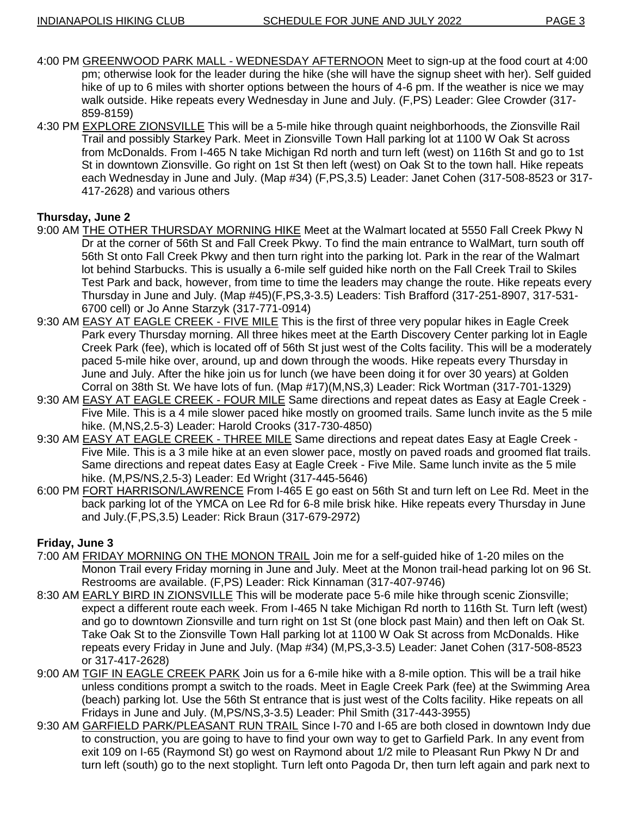- 4:00 PM GREENWOOD PARK MALL WEDNESDAY AFTERNOON Meet to sign-up at the food court at 4:00 pm; otherwise look for the leader during the hike (she will have the signup sheet with her). Self guided hike of up to 6 miles with shorter options between the hours of 4-6 pm. If the weather is nice we may walk outside. Hike repeats every Wednesday in June and July. (F,PS) Leader: Glee Crowder (317- 859-8159)
- 4:30 PM EXPLORE ZIONSVILLE This will be a 5-mile hike through quaint neighborhoods, the Zionsville Rail Trail and possibly Starkey Park. Meet in Zionsville Town Hall parking lot at 1100 W Oak St across from McDonalds. From I-465 N take Michigan Rd north and turn left (west) on 116th St and go to 1st St in downtown Zionsville. Go right on 1st St then left (west) on Oak St to the town hall. Hike repeats each Wednesday in June and July. (Map #34) (F,PS,3.5) Leader: Janet Cohen (317-508-8523 or 317- 417-2628) and various others

# **Thursday, June 2**

- 9:00 AM THE OTHER THURSDAY MORNING HIKE Meet at the Walmart located at 5550 Fall Creek Pkwy N Dr at the corner of 56th St and Fall Creek Pkwy. To find the main entrance to WalMart, turn south off 56th St onto Fall Creek Pkwy and then turn right into the parking lot. Park in the rear of the Walmart lot behind Starbucks. This is usually a 6-mile self guided hike north on the Fall Creek Trail to Skiles Test Park and back, however, from time to time the leaders may change the route. Hike repeats every Thursday in June and July. (Map #45)(F,PS,3-3.5) Leaders: Tish Brafford (317-251-8907, 317-531- 6700 cell) or Jo Anne Starzyk (317-771-0914)
- 9:30 AM EASY AT EAGLE CREEK FIVE MILE This is the first of three very popular hikes in Eagle Creek Park every Thursday morning. All three hikes meet at the Earth Discovery Center parking lot in Eagle Creek Park (fee), which is located off of 56th St just west of the Colts facility. This will be a moderately paced 5-mile hike over, around, up and down through the woods. Hike repeats every Thursday in June and July. After the hike join us for lunch (we have been doing it for over 30 years) at Golden Corral on 38th St. We have lots of fun. (Map #17)(M,NS,3) Leader: Rick Wortman (317-701-1329)
- 9:30 AM EASY AT EAGLE CREEK FOUR MILE Same directions and repeat dates as Easy at Eagle Creek Five Mile. This is a 4 mile slower paced hike mostly on groomed trails. Same lunch invite as the 5 mile hike. (M,NS,2.5-3) Leader: Harold Crooks (317-730-4850)
- 9:30 AM EASY AT EAGLE CREEK THREE MILE Same directions and repeat dates Easy at Eagle Creek Five Mile. This is a 3 mile hike at an even slower pace, mostly on paved roads and groomed flat trails. Same directions and repeat dates Easy at Eagle Creek - Five Mile. Same lunch invite as the 5 mile hike. (M,PS/NS,2.5-3) Leader: Ed Wright (317-445-5646)
- 6:00 PM FORT HARRISON/LAWRENCE From I-465 E go east on 56th St and turn left on Lee Rd. Meet in the back parking lot of the YMCA on Lee Rd for 6-8 mile brisk hike. Hike repeats every Thursday in June and July.(F,PS,3.5) Leader: Rick Braun (317-679-2972)

# **Friday, June 3**

- 7:00 AM FRIDAY MORNING ON THE MONON TRAIL Join me for a self-guided hike of 1-20 miles on the Monon Trail every Friday morning in June and July. Meet at the Monon trail-head parking lot on 96 St. Restrooms are available. (F,PS) Leader: Rick Kinnaman (317-407-9746)
- 8:30 AM EARLY BIRD IN ZIONSVILLE This will be moderate pace 5-6 mile hike through scenic Zionsville; expect a different route each week. From I-465 N take Michigan Rd north to 116th St. Turn left (west) and go to downtown Zionsville and turn right on 1st St (one block past Main) and then left on Oak St. Take Oak St to the Zionsville Town Hall parking lot at 1100 W Oak St across from McDonalds. Hike repeats every Friday in June and July. (Map #34) (M,PS,3-3.5) Leader: Janet Cohen (317-508-8523 or 317-417-2628)
- 9:00 AM TGIF IN EAGLE CREEK PARK Join us for a 6-mile hike with a 8-mile option. This will be a trail hike unless conditions prompt a switch to the roads. Meet in Eagle Creek Park (fee) at the Swimming Area (beach) parking lot. Use the 56th St entrance that is just west of the Colts facility. Hike repeats on all Fridays in June and July. (M,PS/NS,3-3.5) Leader: Phil Smith (317-443-3955)
- 9:30 AM GARFIELD PARK/PLEASANT RUN TRAIL Since I-70 and I-65 are both closed in downtown Indy due to construction, you are going to have to find your own way to get to Garfield Park. In any event from exit 109 on I-65 (Raymond St) go west on Raymond about 1/2 mile to Pleasant Run Pkwy N Dr and turn left (south) go to the next stoplight. Turn left onto Pagoda Dr, then turn left again and park next to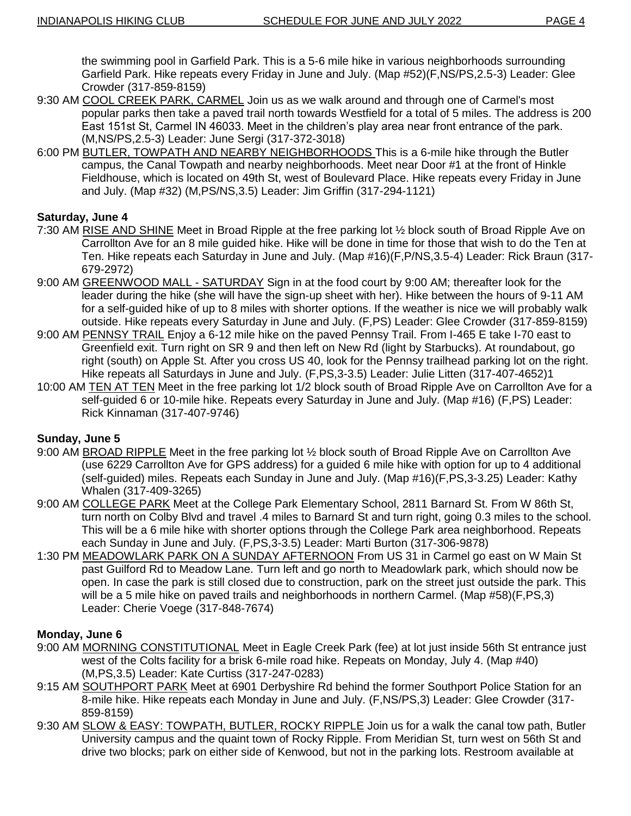the swimming pool in Garfield Park. This is a 5-6 mile hike in various neighborhoods surrounding Garfield Park. Hike repeats every Friday in June and July. (Map #52)(F,NS/PS,2.5-3) Leader: Glee Crowder (317-859-8159)

- 9:30 AM COOL CREEK PARK, CARMEL Join us as we walk around and through one of Carmel's most popular parks then take a paved trail north towards Westfield for a total of 5 miles. The address is 200 East 151st St, Carmel IN 46033. Meet in the children"s play area near front entrance of the park. (M,NS/PS,2.5-3) Leader: June Sergi (317-372-3018)
- 6:00 PM BUTLER, TOWPATH AND NEARBY NEIGHBORHOODS This is a 6-mile hike through the Butler campus, the Canal Towpath and nearby neighborhoods. Meet near Door #1 at the front of Hinkle Fieldhouse, which is located on 49th St, west of Boulevard Place. Hike repeats every Friday in June and July. (Map #32) (M,PS/NS,3.5) Leader: Jim Griffin (317-294-1121)

# **Saturday, June 4**

- 7:30 AM RISE AND SHINE Meet in Broad Ripple at the free parking lot ½ block south of Broad Ripple Ave on Carrollton Ave for an 8 mile guided hike. Hike will be done in time for those that wish to do the Ten at Ten. Hike repeats each Saturday in June and July. (Map #16)(F,P/NS,3.5-4) Leader: Rick Braun (317- 679-2972)
- 9:00 AM GREENWOOD MALL SATURDAY Sign in at the food court by 9:00 AM; thereafter look for the leader during the hike (she will have the sign-up sheet with her). Hike between the hours of 9-11 AM for a self-guided hike of up to 8 miles with shorter options. If the weather is nice we will probably walk outside. Hike repeats every Saturday in June and July. (F,PS) Leader: Glee Crowder (317-859-8159)
- 9:00 AM PENNSY TRAIL Enjoy a 6-12 mile hike on the paved Pennsy Trail. From I-465 E take I-70 east to Greenfield exit. Turn right on SR 9 and then left on New Rd (light by Starbucks). At roundabout, go right (south) on Apple St. After you cross US 40, look for the Pennsy trailhead parking lot on the right. Hike repeats all Saturdays in June and July. (F,PS,3-3.5) Leader: Julie Litten (317-407-4652)1
- 10:00 AM TEN AT TEN Meet in the free parking lot 1/2 block south of Broad Ripple Ave on Carrollton Ave for a self-quided 6 or 10-mile hike. Repeats every Saturday in June and July. (Map #16) (F,PS) Leader: Rick Kinnaman (317-407-9746)

# **Sunday, June 5**

- 9:00 AM BROAD RIPPLE Meet in the free parking lot ½ block south of Broad Ripple Ave on Carrollton Ave (use 6229 Carrollton Ave for GPS address) for a guided 6 mile hike with option for up to 4 additional (self-guided) miles. Repeats each Sunday in June and July. (Map #16)(F,PS,3-3.25) Leader: Kathy Whalen (317-409-3265)
- 9:00 AM COLLEGE PARK Meet at the College Park Elementary School, 2811 Barnard St. From W 86th St, turn north on Colby Blvd and travel .4 miles to Barnard St and turn right, going 0.3 miles to the school. This will be a 6 mile hike with shorter options through the College Park area neighborhood. Repeats each Sunday in June and July. (F,PS,3-3.5) Leader: Marti Burton (317-306-9878)
- 1:30 PM MEADOWLARK PARK ON A SUNDAY AFTERNOON From US 31 in Carmel go east on W Main St past Guilford Rd to Meadow Lane. Turn left and go north to Meadowlark park, which should now be open. In case the park is still closed due to construction, park on the street just outside the park. This will be a 5 mile hike on paved trails and neighborhoods in northern Carmel. (Map #58)(F,PS,3) Leader: Cherie Voege (317-848-7674)

## **Monday, June 6**

- 9:00 AM MORNING CONSTITUTIONAL Meet in Eagle Creek Park (fee) at lot just inside 56th St entrance just west of the Colts facility for a brisk 6-mile road hike. Repeats on Monday, July 4. (Map #40) (M,PS,3.5) Leader: Kate Curtiss (317-247-0283)
- 9:15 AM SOUTHPORT PARK Meet at 6901 Derbyshire Rd behind the former Southport Police Station for an 8-mile hike. Hike repeats each Monday in June and July. (F,NS/PS,3) Leader: Glee Crowder (317- 859-8159)
- 9:30 AM SLOW & EASY: TOWPATH, BUTLER, ROCKY RIPPLE Join us for a walk the canal tow path, Butler University campus and the quaint town of Rocky Ripple. From Meridian St, turn west on 56th St and drive two blocks; park on either side of Kenwood, but not in the parking lots. Restroom available at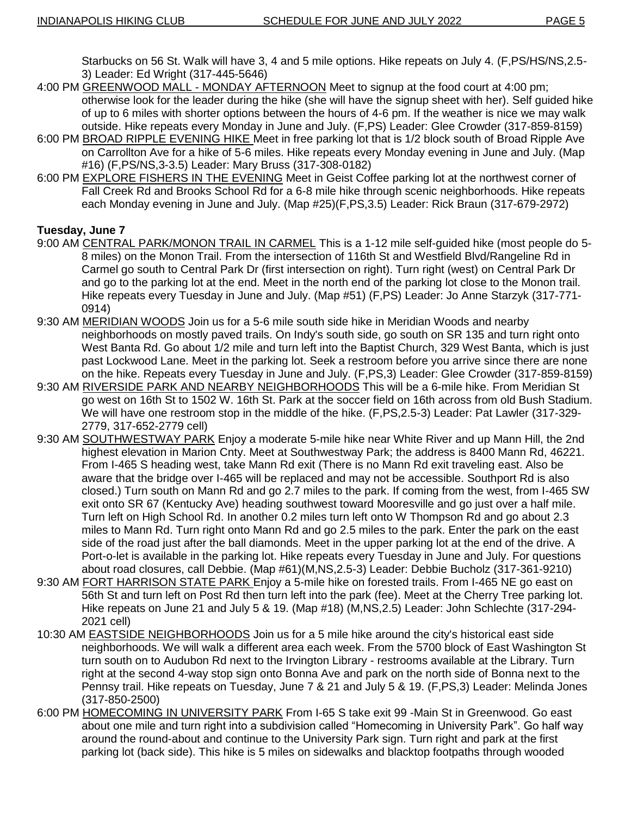Starbucks on 56 St. Walk will have 3, 4 and 5 mile options. Hike repeats on July 4. (F,PS/HS/NS,2.5- 3) Leader: Ed Wright (317-445-5646)

- 4:00 PM GREENWOOD MALL MONDAY AFTERNOON Meet to signup at the food court at 4:00 pm; otherwise look for the leader during the hike (she will have the signup sheet with her). Self guided hike of up to 6 miles with shorter options between the hours of 4-6 pm. If the weather is nice we may walk outside. Hike repeats every Monday in June and July. (F,PS) Leader: Glee Crowder (317-859-8159)
- 6:00 PM BROAD RIPPLE EVENING HIKE Meet in free parking lot that is 1/2 block south of Broad Ripple Ave on Carrollton Ave for a hike of 5-6 miles. Hike repeats every Monday evening in June and July. (Map #16) (F,PS/NS,3-3.5) Leader: Mary Bruss (317-308-0182)
- 6:00 PM EXPLORE FISHERS IN THE EVENING Meet in Geist Coffee parking lot at the northwest corner of Fall Creek Rd and Brooks School Rd for a 6-8 mile hike through scenic neighborhoods. Hike repeats each Monday evening in June and July. (Map #25)(F,PS,3.5) Leader: Rick Braun (317-679-2972)

# **Tuesday, June 7**

- 9:00 AM CENTRAL PARK/MONON TRAIL IN CARMEL This is a 1-12 mile self-guided hike (most people do 5-8 miles) on the Monon Trail. From the intersection of 116th St and Westfield Blvd/Rangeline Rd in Carmel go south to Central Park Dr (first intersection on right). Turn right (west) on Central Park Dr and go to the parking lot at the end. Meet in the north end of the parking lot close to the Monon trail. Hike repeats every Tuesday in June and July. (Map #51) (F,PS) Leader: Jo Anne Starzyk (317-771- 0914)
- 9:30 AM MERIDIAN WOODS Join us for a 5-6 mile south side hike in Meridian Woods and nearby neighborhoods on mostly paved trails. On Indy's south side, go south on SR 135 and turn right onto West Banta Rd. Go about 1/2 mile and turn left into the Baptist Church, 329 West Banta, which is just past Lockwood Lane. Meet in the parking lot. Seek a restroom before you arrive since there are none on the hike. Repeats every Tuesday in June and July. (F,PS,3) Leader: Glee Crowder (317-859-8159)
- 9:30 AM RIVERSIDE PARK AND NEARBY NEIGHBORHOODS This will be a 6-mile hike. From Meridian St go west on 16th St to 1502 W. 16th St. Park at the soccer field on 16th across from old Bush Stadium. We will have one restroom stop in the middle of the hike. (F,PS,2.5-3) Leader: Pat Lawler (317-329- 2779, 317-652-2779 cell)
- 9:30 AM SOUTHWESTWAY PARK Enjoy a moderate 5-mile hike near White River and up Mann Hill, the 2nd highest elevation in Marion Cnty. Meet at Southwestway Park; the address is 8400 Mann Rd, 46221. From I-465 S heading west, take Mann Rd exit (There is no Mann Rd exit traveling east. Also be aware that the bridge over I-465 will be replaced and may not be accessible. Southport Rd is also closed.) Turn south on Mann Rd and go 2.7 miles to the park. If coming from the west, from I-465 SW exit onto SR 67 (Kentucky Ave) heading southwest toward Mooresville and go just over a half mile. Turn left on High School Rd. In another 0.2 miles turn left onto W Thompson Rd and go about 2.3 miles to Mann Rd. Turn right onto Mann Rd and go 2.5 miles to the park. Enter the park on the east side of the road just after the ball diamonds. Meet in the upper parking lot at the end of the drive. A Port-o-let is available in the parking lot. Hike repeats every Tuesday in June and July. For questions about road closures, call Debbie. (Map #61)(M,NS,2.5-3) Leader: Debbie Bucholz (317-361-9210)
- 9:30 AM FORT HARRISON STATE PARK Enjoy a 5-mile hike on forested trails. From I-465 NE go east on 56th St and turn left on Post Rd then turn left into the park (fee). Meet at the Cherry Tree parking lot. Hike repeats on June 21 and July 5 & 19. (Map #18) (M,NS,2.5) Leader: John Schlechte (317-294- 2021 cell)
- 10:30 AM **EASTSIDE NEIGHBORHOODS** Join us for a 5 mile hike around the city's historical east side neighborhoods. We will walk a different area each week. From the 5700 block of East Washington St turn south on to Audubon Rd next to the Irvington Library - restrooms available at the Library. Turn right at the second 4-way stop sign onto Bonna Ave and park on the north side of Bonna next to the Pennsy trail. Hike repeats on Tuesday, June 7 & 21 and July 5 & 19. (F,PS,3) Leader: Melinda Jones (317-850-2500)
- 6:00 PM HOMECOMING IN UNIVERSITY PARK From I-65 S take exit 99 -Main St in Greenwood. Go east about one mile and turn right into a subdivision called "Homecoming in University Park". Go half way around the round-about and continue to the University Park sign. Turn right and park at the first parking lot (back side). This hike is 5 miles on sidewalks and blacktop footpaths through wooded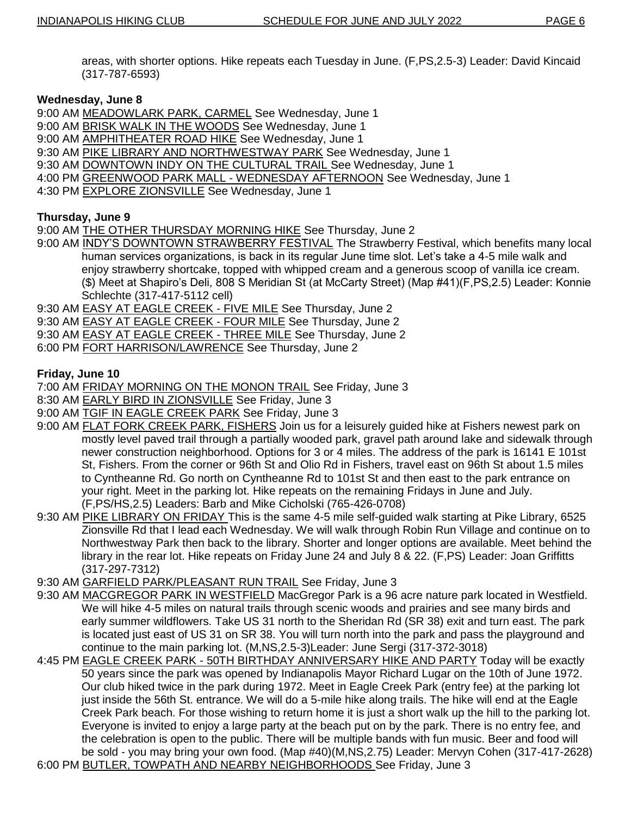areas, with shorter options. Hike repeats each Tuesday in June. (F,PS,2.5-3) Leader: David Kincaid (317-787-6593)

## **Wednesday, June 8**

9:00 AM MEADOWLARK PARK, CARMEL See Wednesday, June 1

- 9:00 AM BRISK WALK IN THE WOODS See Wednesday, June 1
- 9:00 AM **AMPHITHEATER ROAD HIKE** See Wednesday, June 1
- 9:30 AM PIKE LIBRARY AND NORTHWESTWAY PARK See Wednesday, June 1
- 9:30 AM DOWNTOWN INDY ON THE CULTURAL TRAIL See Wednesday, June 1
- 4:00 PM GREENWOOD PARK MALL WEDNESDAY AFTERNOON See Wednesday, June 1
- 4:30 PM EXPLORE ZIONSVILLE See Wednesday, June 1

## **Thursday, June 9**

9:00 AM THE OTHER THURSDAY MORNING HIKE See Thursday, June 2

- 9:00 AM INDY'S DOWNTOWN STRAWBERRY FESTIVAL The Strawberry Festival, which benefits many local human services organizations, is back in its regular June time slot. Let"s take a 4-5 mile walk and enjoy strawberry shortcake, topped with whipped cream and a generous scoop of vanilla ice cream. (\$) Meet at Shapiro"s Deli, 808 S Meridian St (at McCarty Street) (Map #41)(F,PS,2.5) Leader: Konnie Schlechte (317-417-5112 cell)
- 9:30 AM EASY AT EAGLE CREEK FIVE MILE See Thursday, June 2
- 9:30 AM EASY AT EAGLE CREEK FOUR MILE See Thursday, June 2
- 9:30 AM EASY AT EAGLE CREEK THREE MILE See Thursday, June 2
- 6:00 PM FORT HARRISON/LAWRENCE See Thursday, June 2

## **Friday, June 10**

- 7:00 AM FRIDAY MORNING ON THE MONON TRAIL See Friday, June 3
- 8:30 AM EARLY BIRD IN ZIONSVILLE See Friday, June 3
- 9:00 AM TGIF IN EAGLE CREEK PARK See Friday, June 3
- 9:00 AM FLAT FORK CREEK PARK, FISHERS Join us for a leisurely guided hike at Fishers newest park on mostly level paved trail through a partially wooded park, gravel path around lake and sidewalk through newer construction neighborhood. Options for 3 or 4 miles. The address of the park is 16141 E 101st St, Fishers. From the corner or 96th St and Olio Rd in Fishers, travel east on 96th St about 1.5 miles to Cyntheanne Rd. Go north on Cyntheanne Rd to 101st St and then east to the park entrance on your right. Meet in the parking lot. Hike repeats on the remaining Fridays in June and July. (F,PS/HS,2.5) Leaders: Barb and Mike Cicholski (765-426-0708)
- 9:30 AM PIKE LIBRARY ON FRIDAY This is the same 4-5 mile self-guided walk starting at Pike Library, 6525 Zionsville Rd that I lead each Wednesday. We will walk through Robin Run Village and continue on to Northwestway Park then back to the library. Shorter and longer options are available. Meet behind the library in the rear lot. Hike repeats on Friday June 24 and July 8 & 22. (F,PS) Leader: Joan Griffitts (317-297-7312)
- 9:30 AM GARFIELD PARK/PLEASANT RUN TRAIL See Friday, June 3
- 9:30 AM MACGREGOR PARK IN WESTFIELD MacGregor Park is a 96 acre nature park located in Westfield. We will hike 4-5 miles on natural trails through scenic woods and prairies and see many birds and early summer wildflowers. Take US 31 north to the Sheridan Rd (SR 38) exit and turn east. The park is located just east of US 31 on SR 38. You will turn north into the park and pass the playground and continue to the main parking lot. (M,NS,2.5-3)Leader: June Sergi (317-372-3018)
- 4:45 PM EAGLE CREEK PARK 50TH BIRTHDAY ANNIVERSARY HIKE AND PARTY Today will be exactly 50 years since the park was opened by Indianapolis Mayor Richard Lugar on the 10th of June 1972. Our club hiked twice in the park during 1972. Meet in Eagle Creek Park (entry fee) at the parking lot just inside the 56th St. entrance. We will do a 5-mile hike along trails. The hike will end at the Eagle Creek Park beach. For those wishing to return home it is just a short walk up the hill to the parking lot. Everyone is invited to enjoy a large party at the beach put on by the park. There is no entry fee, and the celebration is open to the public. There will be multiple bands with fun music. Beer and food will be sold - you may bring your own food. (Map #40)(M,NS,2.75) Leader: Mervyn Cohen (317-417-2628)
- 6:00 PM BUTLER, TOWPATH AND NEARBY NEIGHBORHOODS See Friday, June 3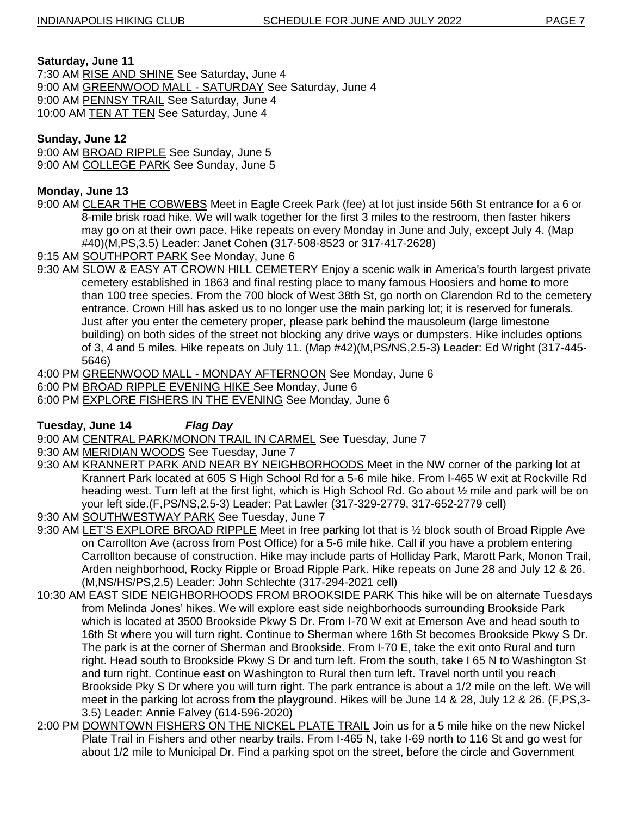## **Saturday, June 11**

7:30 AM RISE AND SHINE See Saturday, June 4 9:00 AM GREENWOOD MALL - SATURDAY See Saturday, June 4 9:00 AM PENNSY TRAIL See Saturday, June 4 10:00 AM TEN AT TEN See Saturday, June 4

# **Sunday, June 12**

9:00 AM BROAD RIPPLE See Sunday, June 5 9:00 AM COLLEGE PARK See Sunday, June 5

# **Monday, June 13**

- 9:00 AM CLEAR THE COBWEBS Meet in Eagle Creek Park (fee) at lot just inside 56th St entrance for a 6 or 8-mile brisk road hike. We will walk together for the first 3 miles to the restroom, then faster hikers may go on at their own pace. Hike repeats on every Monday in June and July, except July 4. (Map #40)(M,PS,3.5) Leader: Janet Cohen (317-508-8523 or 317-417-2628)
- 9:15 AM SOUTHPORT PARK See Monday, June 6
- 9:30 AM SLOW & EASY AT CROWN HILL CEMETERY Enjoy a scenic walk in America's fourth largest private cemetery established in 1863 and final resting place to many famous Hoosiers and home to more than 100 tree species. From the 700 block of West 38th St, go north on Clarendon Rd to the cemetery entrance. Crown Hill has asked us to no longer use the main parking lot; it is reserved for funerals. Just after you enter the cemetery proper, please park behind the mausoleum (large limestone building) on both sides of the street not blocking any drive ways or dumpsters. Hike includes options of 3, 4 and 5 miles. Hike repeats on July 11. (Map #42)(M,PS/NS,2.5-3) Leader: Ed Wright (317-445- 5646)
- 4:00 PM GREENWOOD MALL MONDAY AFTERNOON See Monday, June 6
- 6:00 PM BROAD RIPPLE EVENING HIKE See Monday, June 6
- 6:00 PM EXPLORE FISHERS IN THE EVENING See Monday, June 6

# **Tuesday, June 14** *Flag Day*

9:00 AM CENTRAL PARK/MONON TRAIL IN CARMEL See Tuesday, June 7

- 9:30 AM MERIDIAN WOODS See Tuesday, June 7
- 9:30 AM KRANNERT PARK AND NEAR BY NEIGHBORHOODS Meet in the NW corner of the parking lot at Krannert Park located at 605 S High School Rd for a 5-6 mile hike. From I-465 W exit at Rockville Rd heading west. Turn left at the first light, which is High School Rd. Go about  $\frac{1}{2}$  mile and park will be on your left side.(F,PS/NS,2.5-3) Leader: Pat Lawler (317-329-2779, 317-652-2779 cell)
- 9:30 AM SOUTHWESTWAY PARK See Tuesday, June 7
- 9:30 AM LET'S EXPLORE BROAD RIPPLE Meet in free parking lot that is ½ block south of Broad Ripple Ave on Carrollton Ave (across from Post Office) for a 5-6 mile hike. Call if you have a problem entering Carrollton because of construction. Hike may include parts of Holliday Park, Marott Park, Monon Trail, Arden neighborhood, Rocky Ripple or Broad Ripple Park. Hike repeats on June 28 and July 12 & 26. (M,NS/HS/PS,2.5) Leader: John Schlechte (317-294-2021 cell)
- 10:30 AM EAST SIDE NEIGHBORHOODS FROM BROOKSIDE PARK This hike will be on alternate Tuesdays from Melinda Jones" hikes. We will explore east side neighborhoods surrounding Brookside Park which is located at 3500 Brookside Pkwy S Dr. From I-70 W exit at Emerson Ave and head south to 16th St where you will turn right. Continue to Sherman where 16th St becomes Brookside Pkwy S Dr. The park is at the corner of Sherman and Brookside. From I-70 E, take the exit onto Rural and turn right. Head south to Brookside Pkwy S Dr and turn left. From the south, take I 65 N to Washington St and turn right. Continue east on Washington to Rural then turn left. Travel north until you reach Brookside Pky S Dr where you will turn right. The park entrance is about a 1/2 mile on the left. We will meet in the parking lot across from the playground. Hikes will be June 14 & 28, July 12 & 26. (F,PS,3- 3.5) Leader: Annie Falvey (614-596-2020)
- 2:00 PM DOWNTOWN FISHERS ON THE NICKEL PLATE TRAIL Join us for a 5 mile hike on the new Nickel Plate Trail in Fishers and other nearby trails. From I-465 N, take I-69 north to 116 St and go west for about 1/2 mile to Municipal Dr. Find a parking spot on the street, before the circle and Government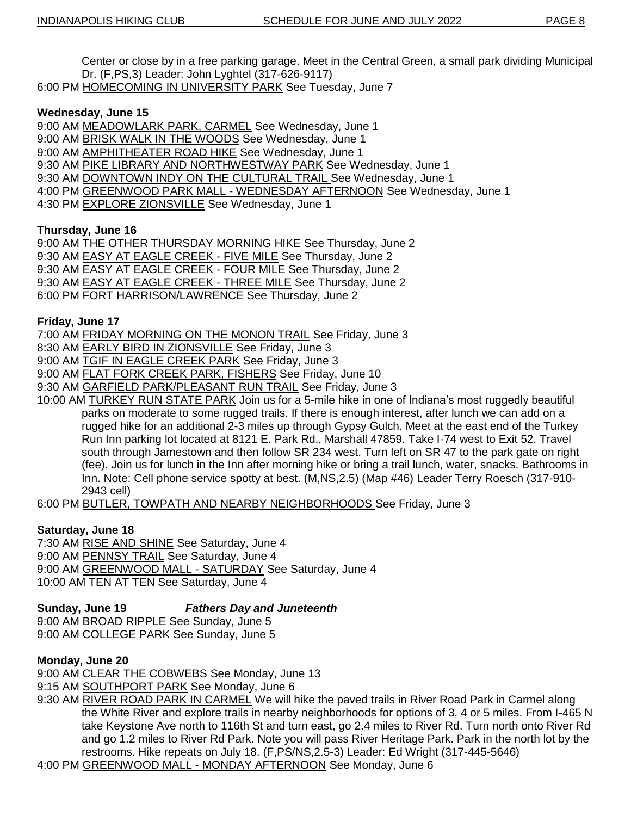Center or close by in a free parking garage. Meet in the Central Green, a small park dividing Municipal Dr. (F,PS,3) Leader: John Lyghtel (317-626-9117)

6:00 PM HOMECOMING IN UNIVERSITY PARK See Tuesday, June 7

# **Wednesday, June 15**

- 9:00 AM MEADOWLARK PARK, CARMEL See Wednesday, June 1
- 9:00 AM BRISK WALK IN THE WOODS See Wednesday, June 1
- 9:00 AM **AMPHITHEATER ROAD HIKE** See Wednesday, June 1
- 9:30 AM PIKE LIBRARY AND NORTHWESTWAY PARK See Wednesday, June 1
- 9:30 AM DOWNTOWN INDY ON THE CULTURAL TRAIL See Wednesday, June 1
- 4:00 PM GREENWOOD PARK MALL WEDNESDAY AFTERNOON See Wednesday, June 1
- 4:30 PM EXPLORE ZIONSVILLE See Wednesday, June 1

# **Thursday, June 16**

9:00 AM THE OTHER THURSDAY MORNING HIKE See Thursday, June 2

- 9:30 AM EASY AT EAGLE CREEK FIVE MILE See Thursday, June 2
- 9:30 AM **EASY AT EAGLE CREEK FOUR MILE** See Thursday, June 2
- 9:30 AM EASY AT EAGLE CREEK THREE MILE See Thursday, June 2
- 6:00 PM FORT HARRISON/LAWRENCE See Thursday, June 2

# **Friday, June 17**

7:00 AM FRIDAY MORNING ON THE MONON TRAIL See Friday, June 3

- 8:30 AM EARLY BIRD IN ZIONSVILLE See Friday, June 3
- 9:00 AM TGIF IN EAGLE CREEK PARK See Friday, June 3
- 9:00 AM FLAT FORK CREEK PARK, FISHERS See Friday, June 10
- 9:30 AM GARFIELD PARK/PLEASANT RUN TRAIL See Friday, June 3
- 10:00 AM TURKEY RUN STATE PARK Join us for a 5-mile hike in one of Indiana"s most ruggedly beautiful parks on moderate to some rugged trails. If there is enough interest, after lunch we can add on a rugged hike for an additional 2-3 miles up through Gypsy Gulch. Meet at the east end of the Turkey Run Inn parking lot located at 8121 E. Park Rd., Marshall 47859. Take I-74 west to Exit 52. Travel south through Jamestown and then follow SR 234 west. Turn left on SR 47 to the park gate on right (fee). Join us for lunch in the Inn after morning hike or bring a trail lunch, water, snacks. Bathrooms in Inn. Note: Cell phone service spotty at best. (M,NS,2.5) (Map #46) Leader Terry Roesch (317-910- 2943 cell)
- 6:00 PM BUTLER, TOWPATH AND NEARBY NEIGHBORHOODS See Friday, June 3

# **Saturday, June 18**

7:30 AM RISE AND SHINE See Saturday, June 4 9:00 AM PENNSY TRAIL See Saturday, June 4 9:00 AM GREENWOOD MALL - SATURDAY See Saturday, June 4 10:00 AM **TEN AT TEN** See Saturday, June 4

# **Sunday, June 19** *Fathers Day and Juneteenth*

9:00 AM BROAD RIPPLE See Sunday, June 5 9:00 AM COLLEGE PARK See Sunday, June 5

# **Monday, June 20**

9:00 AM CLEAR THE COBWEBS See Monday, June 13

9:15 AM SOUTHPORT PARK See Monday, June 6

- 9:30 AM RIVER ROAD PARK IN CARMEL We will hike the paved trails in River Road Park in Carmel along the White River and explore trails in nearby neighborhoods for options of 3, 4 or 5 miles. From I-465 N take Keystone Ave north to 116th St and turn east, go 2.4 miles to River Rd. Turn north onto River Rd and go 1.2 miles to River Rd Park. Note you will pass River Heritage Park. Park in the north lot by the restrooms. Hike repeats on July 18. (F,PS/NS,2.5-3) Leader: Ed Wright (317-445-5646)
- 4:00 PM GREENWOOD MALL MONDAY AFTERNOON See Monday, June 6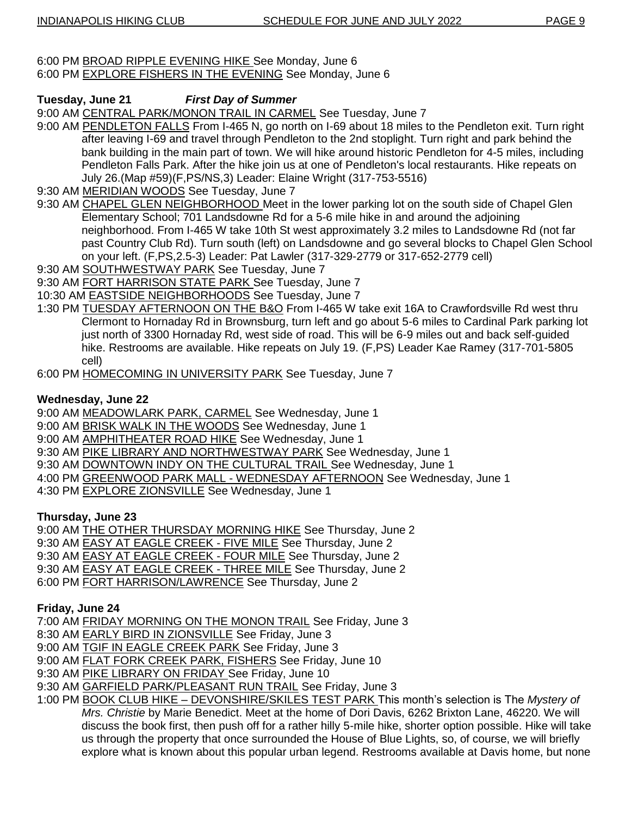#### 6:00 PM BROAD RIPPLE EVENING HIKE See Monday, June 6 6:00 PM EXPLORE FISHERS IN THE EVENING See Monday, June 6

# **Tuesday, June 21** *First Day of Summer*

9:00 AM CENTRAL PARK/MONON TRAIL IN CARMEL See Tuesday, June 7

- 9:00 AM PENDLETON FALLS From I-465 N, go north on I-69 about 18 miles to the Pendleton exit. Turn right after leaving I-69 and travel through Pendleton to the 2nd stoplight. Turn right and park behind the bank building in the main part of town. We will hike around historic Pendleton for 4-5 miles, including Pendleton Falls Park. After the hike join us at one of Pendleton's local restaurants. Hike repeats on July 26.(Map #59)(F,PS/NS,3) Leader: Elaine Wright (317-753-5516)
- 9:30 AM MERIDIAN WOODS See Tuesday, June 7
- 9:30 AM CHAPEL GLEN NEIGHBORHOOD Meet in the lower parking lot on the south side of Chapel Glen Elementary School; 701 Landsdowne Rd for a 5-6 mile hike in and around the adjoining neighborhood. From I-465 W take 10th St west approximately 3.2 miles to Landsdowne Rd (not far past Country Club Rd). Turn south (left) on Landsdowne and go several blocks to Chapel Glen School on your left. (F,PS,2.5-3) Leader: Pat Lawler (317-329-2779 or 317-652-2779 cell)
- 9:30 AM SOUTHWESTWAY PARK See Tuesday, June 7
- 9:30 AM FORT HARRISON STATE PARK See Tuesday, June 7
- 10:30 AM EASTSIDE NEIGHBORHOODS See Tuesday, June 7
- 1:30 PM TUESDAY AFTERNOON ON THE B&O From I-465 W take exit 16A to Crawfordsville Rd west thru Clermont to Hornaday Rd in Brownsburg, turn left and go about 5-6 miles to Cardinal Park parking lot just north of 3300 Hornaday Rd, west side of road. This will be 6-9 miles out and back self-guided hike. Restrooms are available. Hike repeats on July 19. (F,PS) Leader Kae Ramey (317-701-5805 cell)
- 6:00 PM HOMECOMING IN UNIVERSITY PARK See Tuesday, June 7

# **Wednesday, June 22**

- 9:00 AM MEADOWLARK PARK, CARMEL See Wednesday, June 1
- 9:00 AM BRISK WALK IN THE WOODS See Wednesday, June 1
- 9:00 AM AMPHITHEATER ROAD HIKE See Wednesday, June 1
- 9:30 AM PIKE LIBRARY AND NORTHWESTWAY PARK See Wednesday, June 1
- 9:30 AM DOWNTOWN INDY ON THE CULTURAL TRAIL See Wednesday, June 1
- 4:00 PM GREENWOOD PARK MALL WEDNESDAY AFTERNOON See Wednesday, June 1
- 4:30 PM EXPLORE ZIONSVILLE See Wednesday, June 1

## **Thursday, June 23**

9:00 AM THE OTHER THURSDAY MORNING HIKE See Thursday, June 2

- 9:30 AM EASY AT EAGLE CREEK FIVE MILE See Thursday, June 2
- 9:30 AM EASY AT EAGLE CREEK FOUR MILE See Thursday, June 2
- 9:30 AM EASY AT EAGLE CREEK THREE MILE See Thursday, June 2
- 6:00 PM FORT HARRISON/LAWRENCE See Thursday, June 2

# **Friday, June 24**

7:00 AM FRIDAY MORNING ON THE MONON TRAIL See Friday, June 3

- 8:30 AM EARLY BIRD IN ZIONSVILLE See Friday, June 3
- 9:00 AM TGIF IN EAGLE CREEK PARK See Friday, June 3
- 9:00 AM FLAT FORK CREEK PARK, FISHERS See Friday, June 10
- 9:30 AM PIKE LIBRARY ON FRIDAY See Friday, June 10
- 9:30 AM GARFIELD PARK/PLEASANT RUN TRAIL See Friday, June 3
- 1:00 PM BOOK CLUB HIKE DEVONSHIRE/SKILES TEST PARK This month"s selection is The *Mystery of Mrs. Christie* by Marie Benedict. Meet at the home of Dori Davis, 6262 Brixton Lane, 46220. We will discuss the book first, then push off for a rather hilly 5-mile hike, shorter option possible. Hike will take us through the property that once surrounded the House of Blue Lights, so, of course, we will briefly explore what is known about this popular urban legend. Restrooms available at Davis home, but none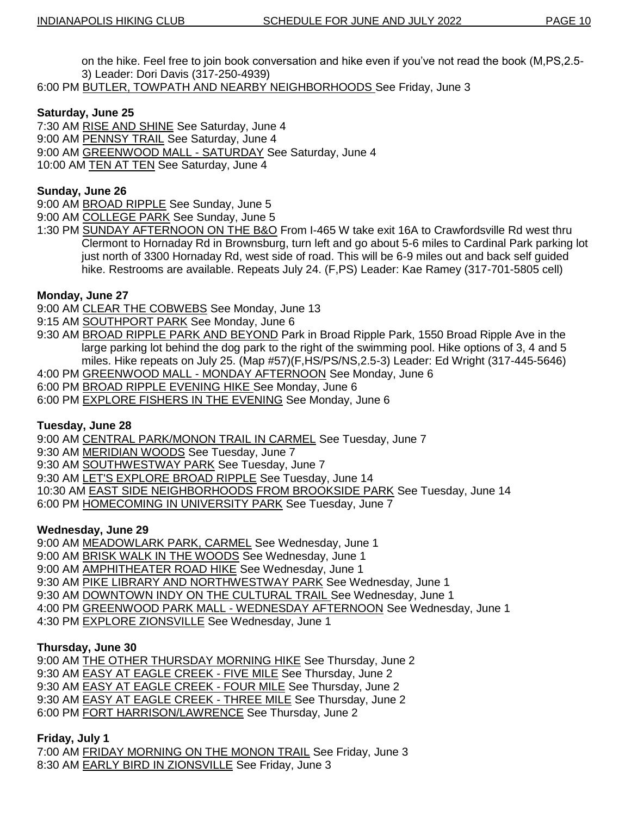on the hike. Feel free to join book conversation and hike even if you"ve not read the book (M,PS,2.5- 3) Leader: Dori Davis (317-250-4939)

6:00 PM BUTLER, TOWPATH AND NEARBY NEIGHBORHOODS See Friday, June 3

# **Saturday, June 25**

- 7:30 AM RISE AND SHINE See Saturday, June 4
- 9:00 AM PENNSY TRAIL See Saturday, June 4
- 9:00 AM GREENWOOD MALL SATURDAY See Saturday, June 4
- 10:00 AM TEN AT TEN See Saturday, June 4

# **Sunday, June 26**

- 9:00 AM BROAD RIPPLE See Sunday, June 5
- 9:00 AM COLLEGE PARK See Sunday, June 5
- 1:30 PM SUNDAY AFTERNOON ON THE B&O From I-465 W take exit 16A to Crawfordsville Rd west thru Clermont to Hornaday Rd in Brownsburg, turn left and go about 5-6 miles to Cardinal Park parking lot just north of 3300 Hornaday Rd, west side of road. This will be 6-9 miles out and back self guided hike. Restrooms are available. Repeats July 24. (F,PS) Leader: Kae Ramey (317-701-5805 cell)

# **Monday, June 27**

- 9:00 AM CLEAR THE COBWEBS See Monday, June 13
- 9:15 AM SOUTHPORT PARK See Monday, June 6
- 9:30 AM BROAD RIPPLE PARK AND BEYOND Park in Broad Ripple Park, 1550 Broad Ripple Ave in the large parking lot behind the dog park to the right of the swimming pool. Hike options of 3, 4 and 5 miles. Hike repeats on July 25. (Map #57)(F,HS/PS/NS,2.5-3) Leader: Ed Wright (317-445-5646)
- 4:00 PM GREENWOOD MALL MONDAY AFTERNOON See Monday, June 6
- 6:00 PM BROAD RIPPLE EVENING HIKE See Monday, June 6
- 6:00 PM EXPLORE FISHERS IN THE EVENING See Monday, June 6

## **Tuesday, June 28**

9:00 AM CENTRAL PARK/MONON TRAIL IN CARMEL See Tuesday, June 7

- 9:30 AM MERIDIAN WOODS See Tuesday, June 7
- 9:30 AM SOUTHWESTWAY PARK See Tuesday, June 7
- 9:30 AM LET'S EXPLORE BROAD RIPPLE See Tuesday, June 14
- 10:30 AM EAST SIDE NEIGHBORHOODS FROM BROOKSIDE PARK See Tuesday, June 14
- 6:00 PM HOMECOMING IN UNIVERSITY PARK See Tuesday, June 7

## **Wednesday, June 29**

- 9:00 AM MEADOWLARK PARK, CARMEL See Wednesday, June 1
- 9:00 AM BRISK WALK IN THE WOODS See Wednesday, June 1
- 9:00 AM AMPHITHEATER ROAD HIKE See Wednesday, June 1
- 9:30 AM PIKE LIBRARY AND NORTHWESTWAY PARK See Wednesday, June 1
- 9:30 AM DOWNTOWN INDY ON THE CULTURAL TRAIL See Wednesday, June 1
- 4:00 PM GREENWOOD PARK MALL WEDNESDAY AFTERNOON See Wednesday, June 1
- 4:30 PM EXPLORE ZIONSVILLE See Wednesday, June 1

## **Thursday, June 30**

9:00 AM THE OTHER THURSDAY MORNING HIKE See Thursday, June 2

- 9:30 AM **EASY AT EAGLE CREEK FIVE MILE** See Thursday, June 2
- 9:30 AM EASY AT EAGLE CREEK FOUR MILE See Thursday, June 2
- 9:30 AM EASY AT EAGLE CREEK THREE MILE See Thursday, June 2
- 6:00 PM FORT HARRISON/LAWRENCE See Thursday, June 2

## **Friday, July 1**

7:00 AM FRIDAY MORNING ON THE MONON TRAIL See Friday, June 3 8:30 AM EARLY BIRD IN ZIONSVILLE See Friday, June 3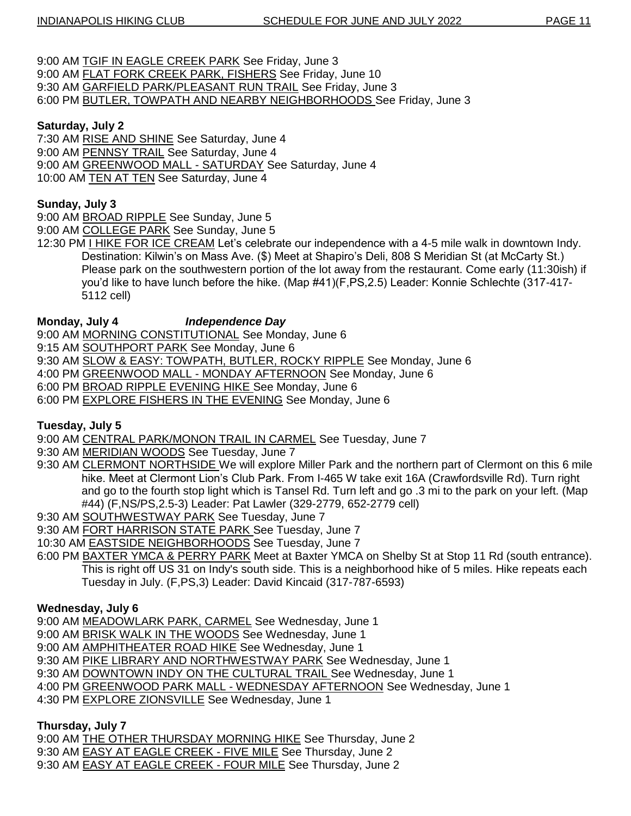- 9:00 AM TGIF IN EAGLE CREEK PARK See Friday, June 3
- 9:00 AM FLAT FORK CREEK PARK, FISHERS See Friday, June 10 9:30 AM GARFIELD PARK/PLEASANT RUN TRAIL See Friday, June 3
- 6:00 PM BUTLER, TOWPATH AND NEARBY NEIGHBORHOODS See Friday, June 3

# **Saturday, July 2**

- 7:30 AM RISE AND SHINE See Saturday, June 4
- 9:00 AM PENNSY TRAIL See Saturday, June 4
- 9:00 AM GREENWOOD MALL SATURDAY See Saturday, June 4
- 10:00 AM TEN AT TEN See Saturday, June 4

# **Sunday, July 3**

- 9:00 AM BROAD RIPPLE See Sunday, June 5
- 9:00 AM COLLEGE PARK See Sunday, June 5
- 12:30 PM I HIKE FOR ICE CREAM Let's celebrate our independence with a 4-5 mile walk in downtown Indy. Destination: Kilwin"s on Mass Ave. (\$) Meet at Shapiro"s Deli, 808 S Meridian St (at McCarty St.) Please park on the southwestern portion of the lot away from the restaurant. Come early (11:30ish) if you"d like to have lunch before the hike. (Map #41)(F,PS,2.5) Leader: Konnie Schlechte (317-417- 5112 cell)

# **Monday, July 4** *Independence Day*

- 9:00 AM MORNING CONSTITUTIONAL See Monday, June 6
- 9:15 AM **SOUTHPORT PARK** See Monday, June 6
- 9:30 AM SLOW & EASY: TOWPATH, BUTLER, ROCKY RIPPLE See Monday, June 6
- 4:00 PM GREENWOOD MALL MONDAY AFTERNOON See Monday, June 6
- 6:00 PM BROAD RIPPLE EVENING HIKE See Monday, June 6
- 6:00 PM EXPLORE FISHERS IN THE EVENING See Monday, June 6

# **Tuesday, July 5**

- 9:00 AM CENTRAL PARK/MONON TRAIL IN CARMEL See Tuesday, June 7
- 9:30 AM MERIDIAN WOODS See Tuesday, June 7
- 9:30 AM CLERMONT NORTHSIDE We will explore Miller Park and the northern part of Clermont on this 6 mile hike. Meet at Clermont Lion"s Club Park. From I-465 W take exit 16A (Crawfordsville Rd). Turn right and go to the fourth stop light which is Tansel Rd. Turn left and go .3 mi to the park on your left. (Map #44) (F,NS/PS,2.5-3) Leader: Pat Lawler (329-2779, 652-2779 cell)
- 9:30 AM SOUTHWESTWAY PARK See Tuesday, June 7
- 9:30 AM FORT HARRISON STATE PARK See Tuesday, June 7
- 10:30 AM **EASTSIDE NEIGHBORHOODS** See Tuesday, June 7
- 6:00 PM BAXTER YMCA & PERRY PARK Meet at Baxter YMCA on Shelby St at Stop 11 Rd (south entrance). This is right off US 31 on Indy's south side. This is a neighborhood hike of 5 miles. Hike repeats each Tuesday in July. (F,PS,3) Leader: David Kincaid (317-787-6593)

# **Wednesday, July 6**

- 9:00 AM MEADOWLARK PARK, CARMEL See Wednesday, June 1
- 9:00 AM BRISK WALK IN THE WOODS See Wednesday, June 1
- 9:00 AM AMPHITHEATER ROAD HIKE See Wednesday, June 1
- 9:30 AM PIKE LIBRARY AND NORTHWESTWAY PARK See Wednesday, June 1
- 9:30 AM DOWNTOWN INDY ON THE CULTURAL TRAIL See Wednesday, June 1
- 4:00 PM GREENWOOD PARK MALL WEDNESDAY AFTERNOON See Wednesday, June 1
- 4:30 PM EXPLORE ZIONSVILLE See Wednesday, June 1

# **Thursday, July 7**

- 9:00 AM THE OTHER THURSDAY MORNING HIKE See Thursday, June 2
- 9:30 AM EASY AT EAGLE CREEK FIVE MILE See Thursday, June 2
- 9:30 AM EASY AT EAGLE CREEK FOUR MILE See Thursday, June 2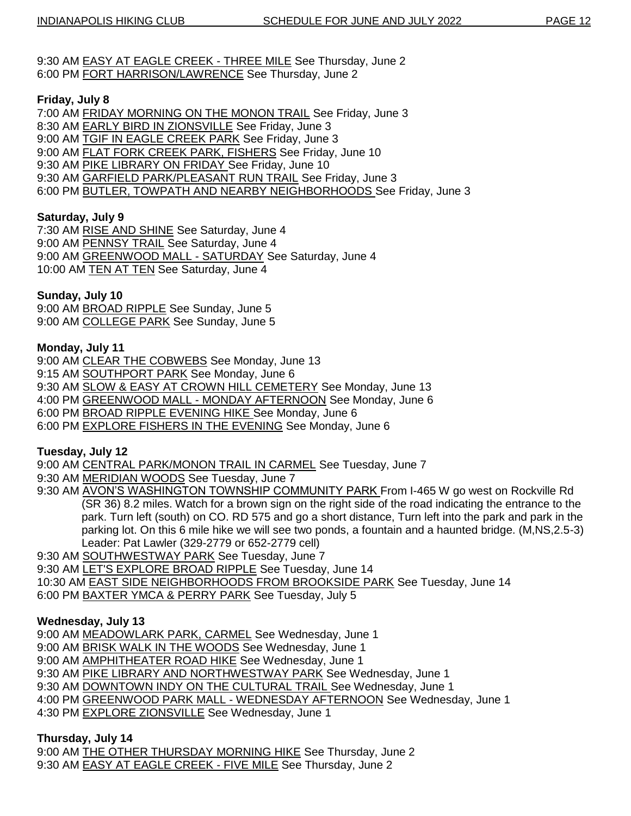9:30 AM EASY AT EAGLE CREEK - THREE MILE See Thursday, June 2 6:00 PM FORT HARRISON/LAWRENCE See Thursday, June 2

## **Friday, July 8**

7:00 AM FRIDAY MORNING ON THE MONON TRAIL See Friday, June 3

8:30 AM EARLY BIRD IN ZIONSVILLE See Friday, June 3

9:00 AM TGIF IN EAGLE CREEK PARK See Friday, June 3

9:00 AM FLAT FORK CREEK PARK, FISHERS See Friday, June 10

9:30 AM PIKE LIBRARY ON FRIDAY See Friday, June 10

9:30 AM GARFIELD PARK/PLEASANT RUN TRAIL See Friday, June 3

6:00 PM BUTLER, TOWPATH AND NEARBY NEIGHBORHOODS See Friday, June 3

# **Saturday, July 9**

7:30 AM RISE AND SHINE See Saturday, June 4 9:00 AM PENNSY TRAIL See Saturday, June 4 9:00 AM GREENWOOD MALL - SATURDAY See Saturday, June 4 10:00 AM **TEN AT TEN** See Saturday, June 4

# **Sunday, July 10**

9:00 AM BROAD RIPPLE See Sunday, June 5 9:00 AM COLLEGE PARK See Sunday, June 5

# **Monday, July 11**

9:00 AM CLEAR THE COBWEBS See Monday, June 13

9:15 AM SOUTHPORT PARK See Monday, June 6

9:30 AM SLOW & EASY AT CROWN HILL CEMETERY See Monday, June 13

4:00 PM GREENWOOD MALL - MONDAY AFTERNOON See Monday, June 6

6:00 PM BROAD RIPPLE EVENING HIKE See Monday, June 6

6:00 PM EXPLORE FISHERS IN THE EVENING See Monday, June 6

## **Tuesday, July 12**

9:00 AM CENTRAL PARK/MONON TRAIL IN CARMEL See Tuesday, June 7

9:30 AM MERIDIAN WOODS See Tuesday, June 7

9:30 AM AVON"S WASHINGTON TOWNSHIP COMMUNITY PARK From I-465 W go west on Rockville Rd (SR 36) 8.2 miles. Watch for a brown sign on the right side of the road indicating the entrance to the park. Turn left (south) on CO. RD 575 and go a short distance, Turn left into the park and park in the parking lot. On this 6 mile hike we will see two ponds, a fountain and a haunted bridge. (M,NS,2.5-3) Leader: Pat Lawler (329-2779 or 652-2779 cell)

9:30 AM SOUTHWESTWAY PARK See Tuesday, June 7

9:30 AM LET'S EXPLORE BROAD RIPPLE See Tuesday, June 14

10:30 AM EAST SIDE NEIGHBORHOODS FROM BROOKSIDE PARK See Tuesday, June 14

6:00 PM BAXTER YMCA & PERRY PARK See Tuesday, July 5

## **Wednesday, July 13**

9:00 AM MEADOWLARK PARK, CARMEL See Wednesday, June 1

9:00 AM BRISK WALK IN THE WOODS See Wednesday, June 1

9:00 AM AMPHITHEATER ROAD HIKE See Wednesday, June 1

9:30 AM PIKE LIBRARY AND NORTHWESTWAY PARK See Wednesday, June 1

9:30 AM DOWNTOWN INDY ON THE CULTURAL TRAIL See Wednesday, June 1

4:00 PM GREENWOOD PARK MALL - WEDNESDAY AFTERNOON See Wednesday, June 1

4:30 PM EXPLORE ZIONSVILLE See Wednesday, June 1

## **Thursday, July 14**

9:00 AM THE OTHER THURSDAY MORNING HIKE See Thursday, June 2 9:30 AM EASY AT EAGLE CREEK - FIVE MILE See Thursday, June 2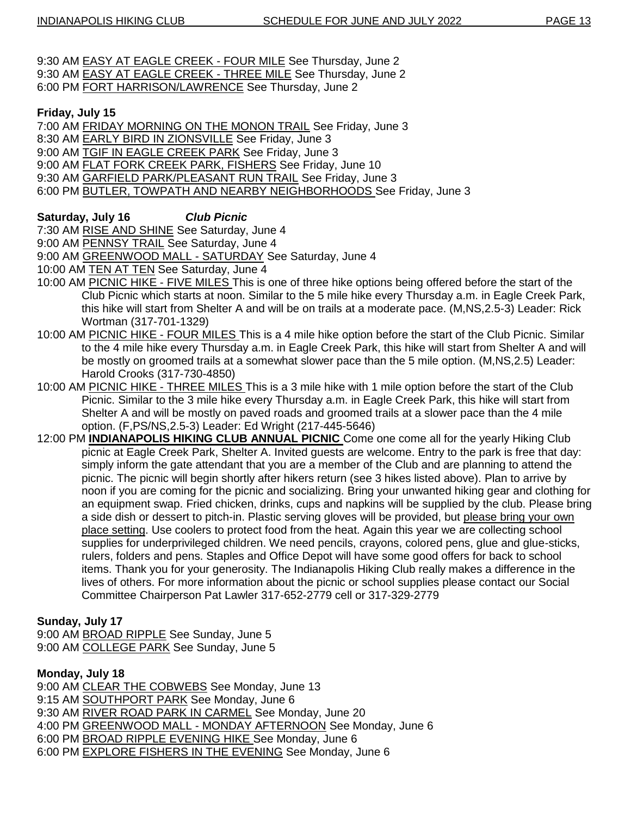- 9:30 AM EASY AT EAGLE CREEK FOUR MILE See Thursday, June 2
- 9:30 AM EASY AT EAGLE CREEK THREE MILE See Thursday, June 2
- 6:00 PM FORT HARRISON/LAWRENCE See Thursday, June 2

# **Friday, July 15**

- 7:00 AM FRIDAY MORNING ON THE MONON TRAIL See Friday, June 3
- 8:30 AM EARLY BIRD IN ZIONSVILLE See Friday, June 3
- 9:00 AM TGIF IN EAGLE CREEK PARK See Friday, June 3
- 9:00 AM FLAT FORK CREEK PARK, FISHERS See Friday, June 10
- 9:30 AM GARFIELD PARK/PLEASANT RUN TRAIL See Friday, June 3
- 6:00 PM BUTLER, TOWPATH AND NEARBY NEIGHBORHOODS See Friday, June 3

# **Saturday, July 16** *Club Picnic*

7:30 AM RISE AND SHINE See Saturday, June 4

9:00 AM PENNSY TRAIL See Saturday, June 4

- 9:00 AM GREENWOOD MALL SATURDAY See Saturday, June 4
- 10:00 AM TEN AT TEN See Saturday, June 4
- 10:00 AM PICNIC HIKE FIVE MILES This is one of three hike options being offered before the start of the Club Picnic which starts at noon. Similar to the 5 mile hike every Thursday a.m. in Eagle Creek Park, this hike will start from Shelter A and will be on trails at a moderate pace. (M,NS,2.5-3) Leader: Rick Wortman (317-701-1329)
- 10:00 AM PICNIC HIKE FOUR MILES This is a 4 mile hike option before the start of the Club Picnic. Similar to the 4 mile hike every Thursday a.m. in Eagle Creek Park, this hike will start from Shelter A and will be mostly on groomed trails at a somewhat slower pace than the 5 mile option. (M,NS,2.5) Leader: Harold Crooks (317-730-4850)
- 10:00 AM PICNIC HIKE THREE MILES This is a 3 mile hike with 1 mile option before the start of the Club Picnic. Similar to the 3 mile hike every Thursday a.m. in Eagle Creek Park, this hike will start from Shelter A and will be mostly on paved roads and groomed trails at a slower pace than the 4 mile option. (F,PS/NS,2.5-3) Leader: Ed Wright (217-445-5646)
- 12:00 PM **INDIANAPOLIS HIKING CLUB ANNUAL PICNIC** Come one come all for the yearly Hiking Club picnic at Eagle Creek Park, Shelter A. Invited guests are welcome. Entry to the park is free that day: simply inform the gate attendant that you are a member of the Club and are planning to attend the picnic. The picnic will begin shortly after hikers return (see 3 hikes listed above). Plan to arrive by noon if you are coming for the picnic and socializing. Bring your unwanted hiking gear and clothing for an equipment swap. Fried chicken, drinks, cups and napkins will be supplied by the club. Please bring a side dish or dessert to pitch-in. Plastic serving gloves will be provided, but please bring your own place setting. Use coolers to protect food from the heat. Again this year we are collecting school supplies for underprivileged children. We need pencils, crayons, colored pens, glue and glue-sticks, rulers, folders and pens. Staples and Office Depot will have some good offers for back to school items. Thank you for your generosity. The Indianapolis Hiking Club really makes a difference in the lives of others. For more information about the picnic or school supplies please contact our Social Committee Chairperson Pat Lawler 317-652-2779 cell or 317-329-2779

# **Sunday, July 17**

9:00 AM BROAD RIPPLE See Sunday, June 5 9:00 AM COLLEGE PARK See Sunday, June 5

**Monday, July 18**

9:00 AM CLEAR THE COBWEBS See Monday, June 13

9:15 AM SOUTHPORT PARK See Monday, June 6

9:30 AM RIVER ROAD PARK IN CARMEL See Monday, June 20

- 4:00 PM GREENWOOD MALL MONDAY AFTERNOON See Monday, June 6
- 6:00 PM BROAD RIPPLE EVENING HIKE See Monday, June 6
- 6:00 PM EXPLORE FISHERS IN THE EVENING See Monday, June 6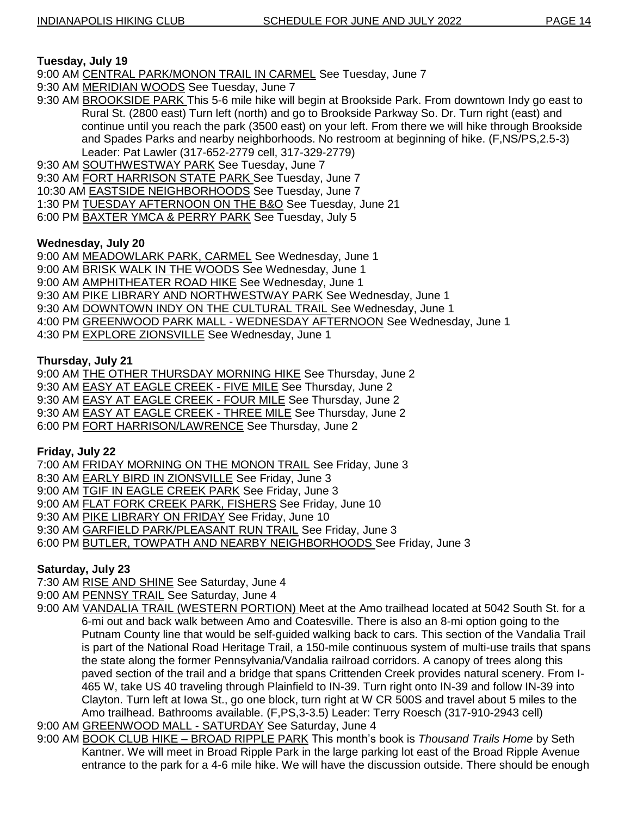# **Tuesday, July 19**

9:00 AM CENTRAL PARK/MONON TRAIL IN CARMEL See Tuesday, June 7

- 9:30 AM MERIDIAN WOODS See Tuesday, June 7
- 9:30 AM BROOKSIDE PARK This 5-6 mile hike will begin at Brookside Park. From downtown Indy go east to Rural St. (2800 east) Turn left (north) and go to Brookside Parkway So. Dr. Turn right (east) and continue until you reach the park (3500 east) on your left. From there we will hike through Brookside and Spades Parks and nearby neighborhoods. No restroom at beginning of hike. (F,NS/PS,2.5-3) Leader: Pat Lawler (317-652-2779 cell, 317-329-2779)
- 9:30 AM SOUTHWESTWAY PARK See Tuesday, June 7
- 9:30 AM FORT HARRISON STATE PARK See Tuesday, June 7
- 10:30 AM EASTSIDE NEIGHBORHOODS See Tuesday, June 7
- 1:30 PM TUESDAY AFTERNOON ON THE B&O See Tuesday, June 21
- 6:00 PM BAXTER YMCA & PERRY PARK See Tuesday, July 5

# **Wednesday, July 20**

- 9:00 AM MEADOWLARK PARK, CARMEL See Wednesday, June 1
- 9:00 AM BRISK WALK IN THE WOODS See Wednesday, June 1
- 9:00 AM **AMPHITHEATER ROAD HIKE** See Wednesday, June 1
- 9:30 AM PIKE LIBRARY AND NORTHWESTWAY PARK See Wednesday, June 1
- 9:30 AM DOWNTOWN INDY ON THE CULTURAL TRAIL See Wednesday, June 1
- 4:00 PM GREENWOOD PARK MALL WEDNESDAY AFTERNOON See Wednesday, June 1
- 4:30 PM EXPLORE ZIONSVILLE See Wednesday, June 1

# **Thursday, July 21**

9:00 AM THE OTHER THURSDAY MORNING HIKE See Thursday, June 2

9:30 AM EASY AT EAGLE CREEK - FIVE MILE See Thursday, June 2

9:30 AM EASY AT EAGLE CREEK - FOUR MILE See Thursday, June 2

9:30 AM EASY AT EAGLE CREEK - THREE MILE See Thursday, June 2

6:00 PM FORT HARRISON/LAWRENCE See Thursday, June 2

# **Friday, July 22**

7:00 AM FRIDAY MORNING ON THE MONON TRAIL See Friday, June 3

8:30 AM EARLY BIRD IN ZIONSVILLE See Friday, June 3

- 9:00 AM TGIF IN EAGLE CREEK PARK See Friday, June 3
- 9:00 AM FLAT FORK CREEK PARK, FISHERS See Friday, June 10
- 9:30 AM PIKE LIBRARY ON FRIDAY See Friday, June 10
- 9:30 AM GARFIELD PARK/PLEASANT RUN TRAIL See Friday, June 3
- 6:00 PM BUTLER, TOWPATH AND NEARBY NEIGHBORHOODS See Friday, June 3

# **Saturday, July 23**

7:30 AM RISE AND SHINE See Saturday, June 4

9:00 AM PENNSY TRAIL See Saturday, June 4

- 9:00 AM VANDALIA TRAIL (WESTERN PORTION) Meet at the Amo trailhead located at 5042 South St. for a 6-mi out and back walk between Amo and Coatesville. There is also an 8-mi option going to the Putnam County line that would be self-guided walking back to cars. This section of the Vandalia Trail is part of the National Road Heritage Trail, a 150-mile continuous system of multi-use trails that spans the state along the former Pennsylvania/Vandalia railroad corridors. A canopy of trees along this paved section of the trail and a bridge that spans Crittenden Creek provides natural scenery. From I-465 W, take US 40 traveling through Plainfield to IN-39. Turn right onto IN-39 and follow IN-39 into Clayton. Turn left at Iowa St., go one block, turn right at W CR 500S and travel about 5 miles to the Amo trailhead. Bathrooms available. (F,PS,3-3.5) Leader: Terry Roesch (317-910-2943 cell)
- 9:00 AM GREENWOOD MALL SATURDAY See Saturday, June 4
- 9:00 AM BOOK CLUB HIKE BROAD RIPPLE PARK This month"s book is *Thousand Trails Home* by Seth Kantner. We will meet in Broad Ripple Park in the large parking lot east of the Broad Ripple Avenue entrance to the park for a 4-6 mile hike. We will have the discussion outside. There should be enough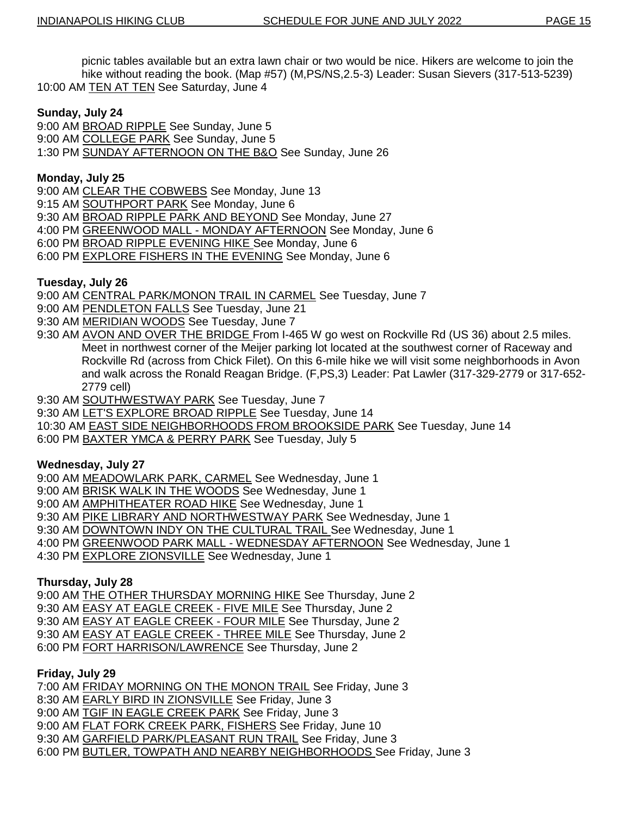picnic tables available but an extra lawn chair or two would be nice. Hikers are welcome to join the hike without reading the book. (Map #57) (M,PS/NS,2.5-3) Leader: Susan Sievers (317-513-5239) 10:00 AM TEN AT TEN See Saturday, June 4

## **Sunday, July 24**

9:00 AM BROAD RIPPLE See Sunday, June 5

9:00 AM COLLEGE PARK See Sunday, June 5

1:30 PM SUNDAY AFTERNOON ON THE B&O See Sunday, June 26

## **Monday, July 25**

9:00 AM CLEAR THE COBWEBS See Monday, June 13

9:15 AM SOUTHPORT PARK See Monday, June 6

9:30 AM BROAD RIPPLE PARK AND BEYOND See Monday, June 27

4:00 PM GREENWOOD MALL - MONDAY AFTERNOON See Monday, June 6

6:00 PM BROAD RIPPLE EVENING HIKE See Monday, June 6

6:00 PM EXPLORE FISHERS IN THE EVENING See Monday, June 6

## **Tuesday, July 26**

9:00 AM CENTRAL PARK/MONON TRAIL IN CARMEL See Tuesday, June 7

9:00 AM PENDLETON FALLS See Tuesday, June 21

9:30 AM MERIDIAN WOODS See Tuesday, June 7

9:30 AM AVON AND OVER THE BRIDGE From I-465 W go west on Rockville Rd (US 36) about 2.5 miles. Meet in northwest corner of the Meijer parking lot located at the southwest corner of Raceway and Rockville Rd (across from Chick Filet). On this 6-mile hike we will visit some neighborhoods in Avon and walk across the Ronald Reagan Bridge. (F,PS,3) Leader: Pat Lawler (317-329-2779 or 317-652- 2779 cell)

9:30 AM SOUTHWESTWAY PARK See Tuesday, June 7

9:30 AM LET'S EXPLORE BROAD RIPPLE See Tuesday, June 14

10:30 AM EAST SIDE NEIGHBORHOODS FROM BROOKSIDE PARK See Tuesday, June 14

6:00 PM BAXTER YMCA & PERRY PARK See Tuesday, July 5

#### **Wednesday, July 27**

9:00 AM MEADOWLARK PARK, CARMEL See Wednesday, June 1

9:00 AM BRISK WALK IN THE WOODS See Wednesday, June 1

9:00 AM **AMPHITHEATER ROAD HIKE** See Wednesday, June 1

9:30 AM PIKE LIBRARY AND NORTHWESTWAY PARK See Wednesday, June 1

9:30 AM DOWNTOWN INDY ON THE CULTURAL TRAIL See Wednesday, June 1

4:00 PM GREENWOOD PARK MALL - WEDNESDAY AFTERNOON See Wednesday, June 1

4:30 PM EXPLORE ZIONSVILLE See Wednesday, June 1

## **Thursday, July 28**

9:00 AM THE OTHER THURSDAY MORNING HIKE See Thursday, June 2

9:30 AM EASY AT EAGLE CREEK - FIVE MILE See Thursday, June 2

9:30 AM EASY AT EAGLE CREEK - FOUR MILE See Thursday, June 2

9:30 AM EASY AT EAGLE CREEK - THREE MILE See Thursday, June 2

6:00 PM FORT HARRISON/LAWRENCE See Thursday, June 2

## **Friday, July 29**

7:00 AM FRIDAY MORNING ON THE MONON TRAIL See Friday, June 3

8:30 AM EARLY BIRD IN ZIONSVILLE See Friday, June 3

9:00 AM TGIF IN EAGLE CREEK PARK See Friday, June 3

9:00 AM FLAT FORK CREEK PARK, FISHERS See Friday, June 10

9:30 AM GARFIELD PARK/PLEASANT RUN TRAIL See Friday, June 3

6:00 PM BUTLER, TOWPATH AND NEARBY NEIGHBORHOODS See Friday, June 3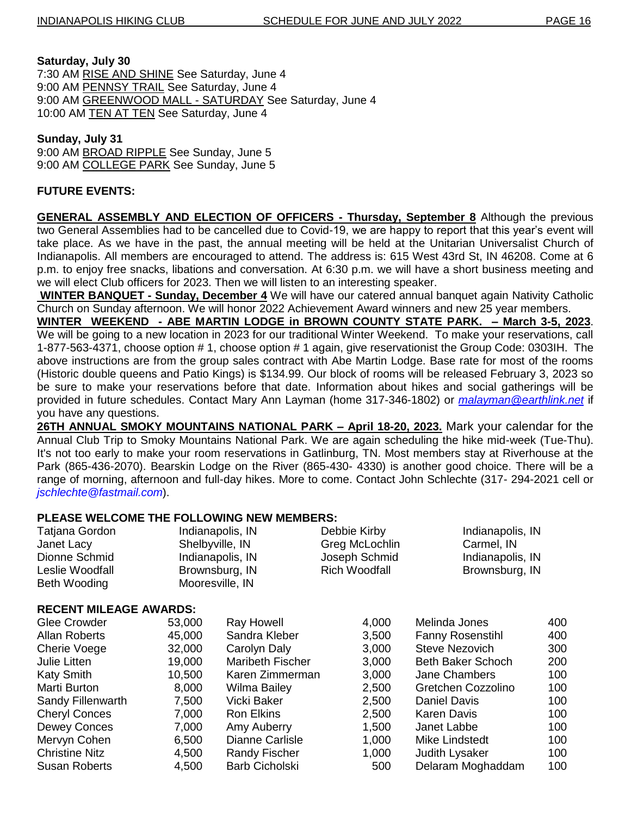#### **Saturday, July 30**

7:30 AM RISE AND SHINE See Saturday, June 4 9:00 AM PENNSY TRAIL See Saturday, June 4 9:00 AM GREENWOOD MALL - SATURDAY See Saturday, June 4 10:00 AM TEN AT TEN See Saturday, June 4

#### **Sunday, July 31**

9:00 AM BROAD RIPPLE See Sunday, June 5 9:00 AM COLLEGE PARK See Sunday, June 5

## **FUTURE EVENTS:**

**GENERAL ASSEMBLY AND ELECTION OF OFFICERS - Thursday, September 8** Although the previous two General Assemblies had to be cancelled due to Covid-19, we are happy to report that this year"s event will take place. As we have in the past, the annual meeting will be held at the Unitarian Universalist Church of Indianapolis. All members are encouraged to attend. The address is: 615 West 43rd St, IN 46208. Come at 6 p.m. to enjoy free snacks, libations and conversation. At 6:30 p.m. we will have a short business meeting and we will elect Club officers for 2023. Then we will listen to an interesting speaker.

**WINTER BANQUET - Sunday, December 4** We will have our catered annual banquet again Nativity Catholic Church on Sunday afternoon. We will honor 2022 Achievement Award winners and new 25 year members.

**WINTER WEEKEND - ABE MARTIN LODGE in BROWN COUNTY STATE PARK. – March 3-5, 2023**. We will be going to a new location in 2023 for our traditional Winter Weekend. To make your reservations, call 1-877-563-4371, choose option # 1, choose option # 1 again, give reservationist the Group Code: 0303IH. The above instructions are from the group sales contract with Abe Martin Lodge. Base rate for most of the rooms (Historic double queens and Patio Kings) is \$134.99. Our block of rooms will be released February 3, 2023 so be sure to make your reservations before that date. Information about hikes and social gatherings will be provided in future schedules. Contact Mary Ann Layman (home 317-346-1802) or *[malayman@earthlink.net](mailto:malayman@earthlink.net)* if you have any questions.

**26TH ANNUAL SMOKY MOUNTAINS NATIONAL PARK – April 18-20, 2023.** Mark your calendar for the Annual Club Trip to Smoky Mountains National Park. We are again scheduling the hike mid-week (Tue-Thu). It's not too early to make your room reservations in Gatlinburg, TN. Most members stay at Riverhouse at the Park (865-436-2070). Bearskin Lodge on the River (865-430- 4330) is another good choice. There will be a range of morning, afternoon and full-day hikes. More to come. Contact John Schlechte (317- 294-2021 cell or *jschlechte@fastmail.com*).

## **PLEASE WELCOME THE FOLLOWING NEW MEMBERS:**

| <b>Tatjana Gordon</b>         | Indianapolis, IN |                         | Debbie Kirby                      | Indianapolis, IN        |     |  |
|-------------------------------|------------------|-------------------------|-----------------------------------|-------------------------|-----|--|
| Janet Lacy                    |                  | Shelbyville, IN         | Greg McLochlin                    | Carmel, IN              |     |  |
| Dionne Schmid                 | Indianapolis, IN |                         | Joseph Schmid<br>Indianapolis, IN |                         |     |  |
| Leslie Woodfall               | Brownsburg, IN   |                         | <b>Rich Woodfall</b>              | Brownsburg, IN          |     |  |
| <b>Beth Wooding</b>           |                  | Mooresville, IN         |                                   |                         |     |  |
| <b>RECENT MILEAGE AWARDS:</b> |                  |                         |                                   |                         |     |  |
| Glee Crowder                  | 53,000           | Ray Howell              | 4,000                             | Melinda Jones           | 400 |  |
| <b>Allan Roberts</b>          | 45,000           | Sandra Kleber           | 3,500                             | <b>Fanny Rosenstihl</b> | 400 |  |
| <b>Cherie Voege</b>           | 32,000           | Carolyn Daly            | 3,000                             | Steve Nezovich          | 300 |  |
| Julie Litten                  | 19,000           | <b>Maribeth Fischer</b> | 3,000                             | Beth Baker Schoch       | 200 |  |
| <b>Katy Smith</b>             | 10,500           | Karen Zimmerman         | 3,000                             | <b>Jane Chambers</b>    | 100 |  |
| Marti Burton                  | 8,000            | Wilma Bailey            | 2,500                             | Gretchen Cozzolino      | 100 |  |
| Sandy Fillenwarth             | 7,500            | Vicki Baker             | 2,500                             | <b>Daniel Davis</b>     | 100 |  |
| <b>Cheryl Conces</b>          | 7,000            | <b>Ron Elkins</b>       | 2,500                             | <b>Karen Davis</b>      | 100 |  |
| <b>Dewey Conces</b>           | 7,000            | Amy Auberry             | 1,500                             | Janet Labbe             | 100 |  |
| Mervyn Cohen                  | 6,500            | <b>Dianne Carlisle</b>  | 1,000                             | Mike Lindstedt          | 100 |  |
| <b>Christine Nitz</b>         | 4,500            | <b>Randy Fischer</b>    | 1,000                             | Judith Lysaker          | 100 |  |
| Susan Roberts                 | 4,500            | <b>Barb Cicholski</b>   | 500                               | Delaram Moghaddam       | 100 |  |